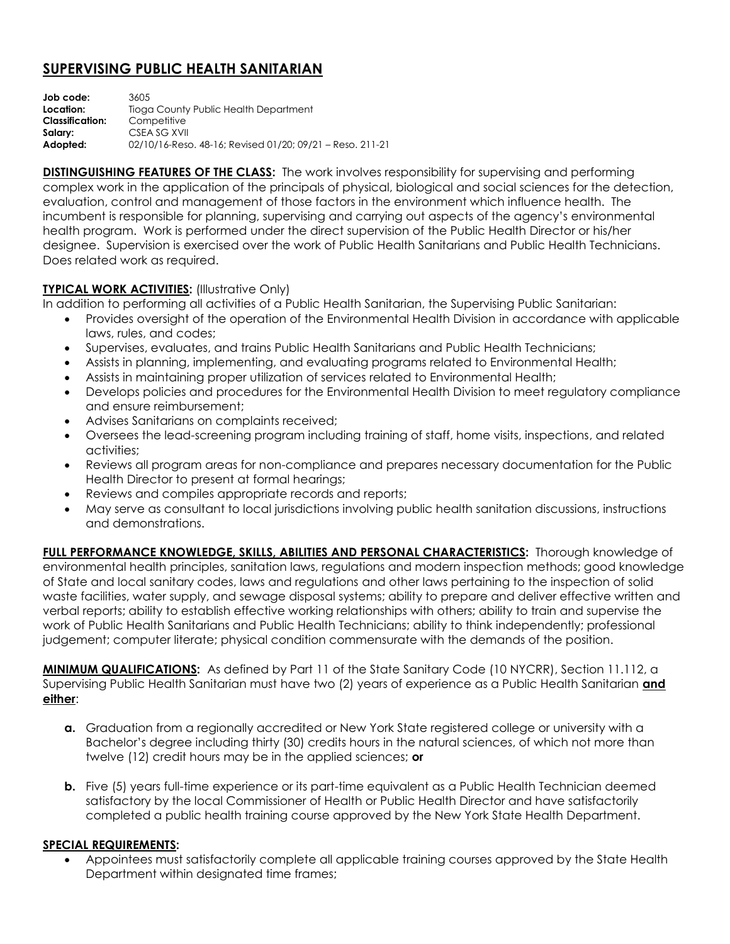## **SUPERVISING PUBLIC HEALTH SANITARIAN**

**Job code:** 3605 **Location:** Tioga County Public Health Department **Classification:** Competitive **Salary:** CSEA SG XVII **Adopted:** 02/10/16-Reso. 48-16; Revised 01/20; 09/21 – Reso. 211-21

**DISTINGUISHING FEATURES OF THE CLASS:** The work involves responsibility for supervising and performing complex work in the application of the principals of physical, biological and social sciences for the detection, evaluation, control and management of those factors in the environment which influence health. The incumbent is responsible for planning, supervising and carrying out aspects of the agency's environmental health program. Work is performed under the direct supervision of the Public Health Director or his/her designee. Supervision is exercised over the work of Public Health Sanitarians and Public Health Technicians. Does related work as required.

## **TYPICAL WORK ACTIVITIES: (Illustrative Only)**

In addition to performing all activities of a Public Health Sanitarian, the Supervising Public Sanitarian:

- Provides oversight of the operation of the Environmental Health Division in accordance with applicable laws, rules, and codes;
- Supervises, evaluates, and trains Public Health Sanitarians and Public Health Technicians;
- Assists in planning, implementing, and evaluating programs related to Environmental Health;
- Assists in maintaining proper utilization of services related to Environmental Health;
- Develops policies and procedures for the Environmental Health Division to meet regulatory compliance and ensure reimbursement;
- Advises Sanitarians on complaints received;
- Oversees the lead-screening program including training of staff, home visits, inspections, and related activities;
- Reviews all program areas for non-compliance and prepares necessary documentation for the Public Health Director to present at formal hearings;
- Reviews and compiles appropriate records and reports;
- May serve as consultant to local jurisdictions involving public health sanitation discussions, instructions and demonstrations.

**FULL PERFORMANCE KNOWLEDGE, SKILLS, ABILITIES AND PERSONAL CHARACTERISTICS:** Thorough knowledge of environmental health principles, sanitation laws, regulations and modern inspection methods; good knowledge of State and local sanitary codes, laws and regulations and other laws pertaining to the inspection of solid waste facilities, water supply, and sewage disposal systems; ability to prepare and deliver effective written and verbal reports; ability to establish effective working relationships with others; ability to train and supervise the work of Public Health Sanitarians and Public Health Technicians; ability to think independently; professional judgement; computer literate; physical condition commensurate with the demands of the position.

**MINIMUM QUALIFICATIONS:** As defined by Part 11 of the State Sanitary Code (10 NYCRR), Section 11.112, a Supervising Public Health Sanitarian must have two (2) years of experience as a Public Health Sanitarian **and either**:

- **a.** Graduation from a regionally accredited or New York State registered college or university with a Bachelor's degree including thirty (30) credits hours in the natural sciences, of which not more than twelve (12) credit hours may be in the applied sciences; **or**
- **b.** Five (5) years full-time experience or its part-time equivalent as a Public Health Technician deemed satisfactory by the local Commissioner of Health or Public Health Director and have satisfactorily completed a public health training course approved by the New York State Health Department.

## **SPECIAL REQUIREMENTS:**

 Appointees must satisfactorily complete all applicable training courses approved by the State Health Department within designated time frames;